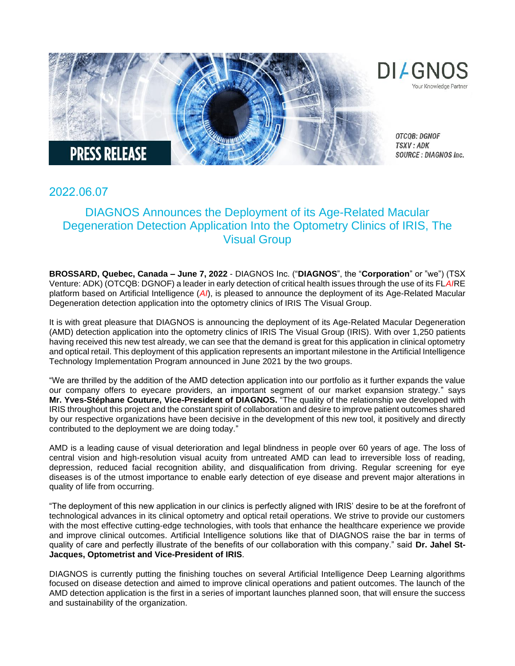

## 2022.06.07

## DIAGNOS Announces the Deployment of its Age-Related Macular Degeneration Detection Application Into the Optometry Clinics of IRIS, The Visual Group

**BROSSARD, Quebec, Canada – June 7, 2022** - DIAGNOS Inc. ("**DIAGNOS**", the "**Corporation**" or "we") (TSX Venture: ADK) (OTCQB: DGNOF) a leader in early detection of critical health issues through the use of its FL*AI*RE platform based on Artificial Intelligence (*AI*), is pleased to announce the deployment of its Age-Related Macular Degeneration detection application into the optometry clinics of IRIS The Visual Group.

It is with great pleasure that DIAGNOS is announcing the deployment of its Age-Related Macular Degeneration (AMD) detection application into the optometry clinics of IRIS The Visual Group (IRIS). With over 1,250 patients having received this new test already, we can see that the demand is great for this application in clinical optometry and optical retail. This deployment of this application represents an important milestone in the Artificial Intelligence Technology Implementation Program announced in June 2021 by the two groups.

"We are thrilled by the addition of the AMD detection application into our portfolio as it further expands the value our company offers to eyecare providers, an important segment of our market expansion strategy." says **Mr. Yves-Stéphane Couture, Vice-President of DIAGNOS.** "The quality of the relationship we developed with IRIS throughout this project and the constant spirit of collaboration and desire to improve patient outcomes shared by our respective organizations have been decisive in the development of this new tool, it positively and directly contributed to the deployment we are doing today."

AMD is a leading cause of visual deterioration and legal blindness in people over 60 years of age. The loss of central vision and high-resolution visual acuity from untreated AMD can lead to irreversible loss of reading, depression, reduced facial recognition ability, and disqualification from driving. Regular screening for eye diseases is of the utmost importance to enable early detection of eye disease and prevent major alterations in quality of life from occurring.

"The deployment of this new application in our clinics is perfectly aligned with IRIS' desire to be at the forefront of technological advances in its clinical optometry and optical retail operations. We strive to provide our customers with the most effective cutting-edge technologies, with tools that enhance the healthcare experience we provide and improve clinical outcomes. Artificial Intelligence solutions like that of DIAGNOS raise the bar in terms of quality of care and perfectly illustrate of the benefits of our collaboration with this company." said **Dr. Jahel St-Jacques, Optometrist and Vice-President of IRIS**.

DIAGNOS is currently putting the finishing touches on several Artificial Intelligence Deep Learning algorithms focused on disease detection and aimed to improve clinical operations and patient outcomes. The launch of the AMD detection application is the first in a series of important launches planned soon, that will ensure the success and sustainability of the organization.